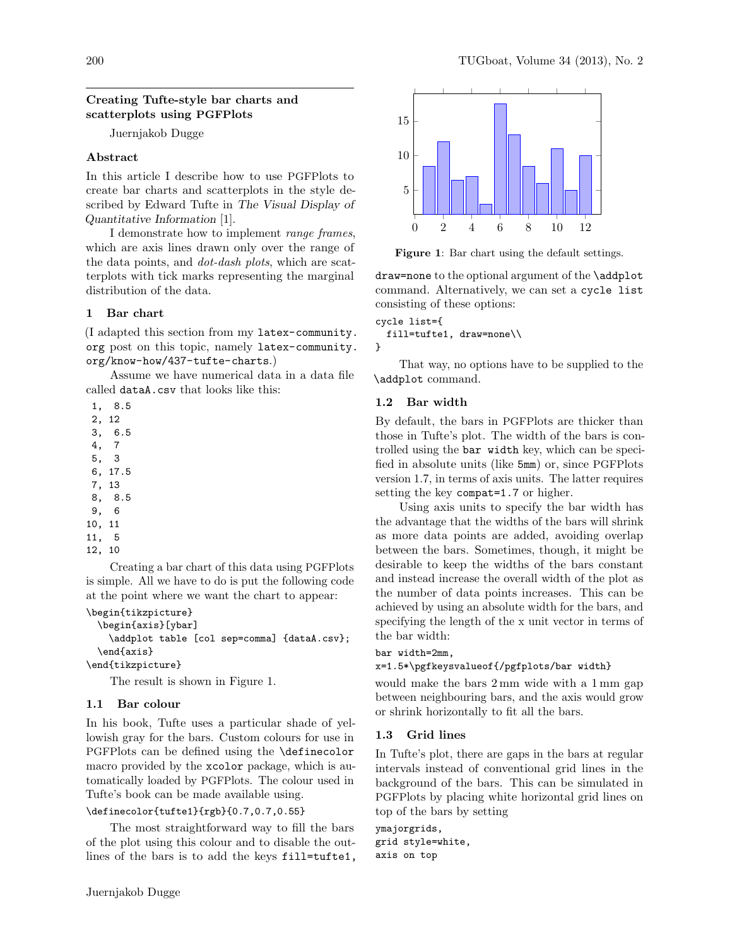### Creating Tufte-style bar charts and scatterplots using PGFPlots

Juernjakob Dugge

## Abstract

In this article I describe how to use PGFPlots to create bar charts and scatterplots in the style described by Edward Tufte in The Visual Display of Quantitative Information [1].

I demonstrate how to implement range frames, which are axis lines drawn only over the range of the data points, and dot-dash plots, which are scatterplots with tick marks representing the marginal distribution of the data.

# 1 Bar chart

(I adapted this section from my latex-community. org post on this topic, namely latex-community. org/know-how/437-tufte-charts.)

Assume we have numerical data in a data file called dataA.csv that looks like this:

- 1, 8.5
- 2, 12
- 3, 6.5
- 4, 7
- 5, 3 6, 17.5
- 7, 13
- 8, 8.5
- 9, 6
- 10, 11
- 11, 5
- 12, 10

Creating a bar chart of this data using PGFPlots is simple. All we have to do is put the following code at the point where we want the chart to appear:

```
\begin{tikzpicture}
```
\begin{axis}[ybar]

\addplot table [col sep=comma] {dataA.csv}; \end{axis}

\end{tikzpicture}

The result is shown in Figure 1.

# 1.1 Bar colour

In his book, Tufte uses a particular shade of yellowish gray for the bars. Custom colours for use in PGFPlots can be defined using the \definecolor macro provided by the xcolor package, which is automatically loaded by PGFPlots. The colour used in Tufte's book can be made available using.

### \definecolor{tufte1}{rgb}{0.7,0.7,0.55}

The most straightforward way to fill the bars of the plot using this colour and to disable the outlines of the bars is to add the keys fill=tufte1,



Figure 1: Bar chart using the default settings.

draw=none to the optional argument of the \addplot command. Alternatively, we can set a cycle list consisting of these options:

```
cycle list={
 fill=tufte1, draw=none\\
}
```
That way, no options have to be supplied to the \addplot command.

### 1.2 Bar width

By default, the bars in PGFPlots are thicker than those in Tufte's plot. The width of the bars is controlled using the bar width key, which can be specified in absolute units (like 5mm) or, since PGFPlots version 1.7, in terms of axis units. The latter requires setting the key compat=1.7 or higher.

Using axis units to specify the bar width has the advantage that the widths of the bars will shrink as more data points are added, avoiding overlap between the bars. Sometimes, though, it might be desirable to keep the widths of the bars constant and instead increase the overall width of the plot as the number of data points increases. This can be achieved by using an absolute width for the bars, and specifying the length of the x unit vector in terms of the bar width:

#### bar width=2mm,

```
x=1.5*\pgfkeysvalueof{/pgfplots/bar width}
```
would make the bars 2 mm wide with a 1 mm gap between neighbouring bars, and the axis would grow or shrink horizontally to fit all the bars.

### 1.3 Grid lines

In Tufte's plot, there are gaps in the bars at regular intervals instead of conventional grid lines in the background of the bars. This can be simulated in PGFPlots by placing white horizontal grid lines on top of the bars by setting

ymajorgrids, grid style=white, axis on top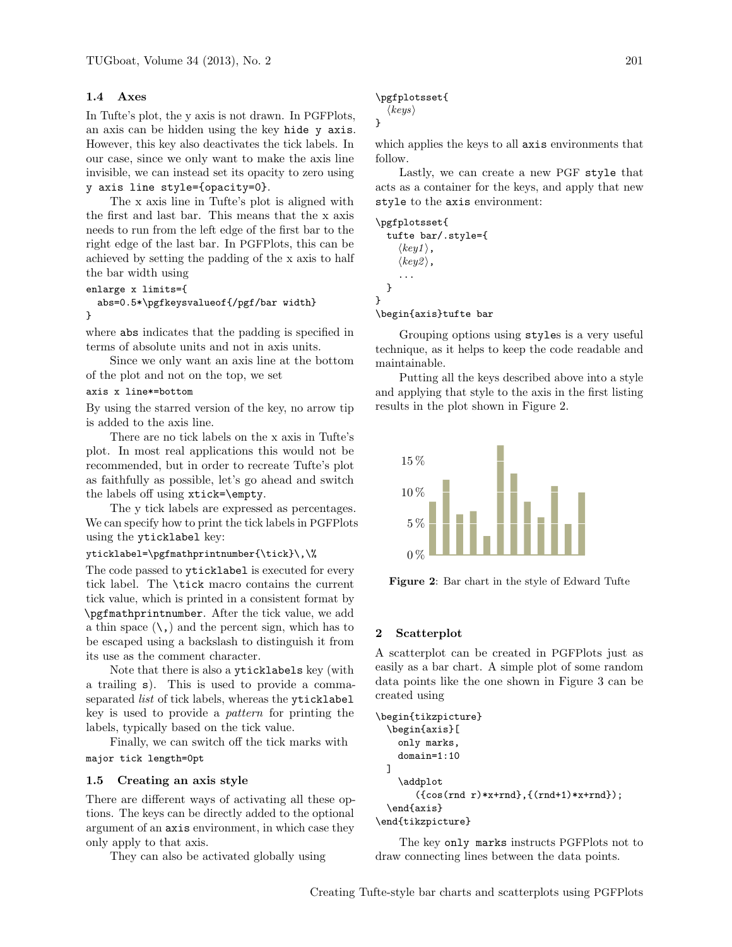## 1.4 Axes

In Tufte's plot, the y axis is not drawn. In PGFPlots, an axis can be hidden using the key hide y axis. However, this key also deactivates the tick labels. In our case, since we only want to make the axis line invisible, we can instead set its opacity to zero using y axis line style={opacity=0}.

The x axis line in Tufte's plot is aligned with the first and last bar. This means that the x axis needs to run from the left edge of the first bar to the right edge of the last bar. In PGFPlots, this can be achieved by setting the padding of the x axis to half the bar width using

```
enlarge x limits={
```
### abs=0.5\*\pgfkeysvalueof{/pgf/bar width} }

where abs indicates that the padding is specified in terms of absolute units and not in axis units.

Since we only want an axis line at the bottom of the plot and not on the top, we set

#### axis x line\*=bottom

By using the starred version of the key, no arrow tip is added to the axis line.

There are no tick labels on the x axis in Tufte's plot. In most real applications this would not be recommended, but in order to recreate Tufte's plot as faithfully as possible, let's go ahead and switch the labels off using xtick=\empty.

The y tick labels are expressed as percentages. We can specify how to print the tick labels in PGFPlots using the yticklabel key:

# yticklabel=\pgfmathprintnumber{\tick}\,\%

The code passed to yticklabel is executed for every tick label. The \tick macro contains the current tick value, which is printed in a consistent format by \pgfmathprintnumber. After the tick value, we add a thin space  $(\mathcal{L},)$  and the percent sign, which has to be escaped using a backslash to distinguish it from its use as the comment character.

Note that there is also a yticklabels key (with a trailing s). This is used to provide a commaseparated *list* of tick labels, whereas the yticklabel key is used to provide a pattern for printing the labels, typically based on the tick value.

Finally, we can switch off the tick marks with major tick length=0pt

#### 1.5 Creating an axis style

There are different ways of activating all these options. The keys can be directly added to the optional argument of an axis environment, in which case they only apply to that axis.

They can also be activated globally using

#### \pgfplotsset{

 $\langle keys \rangle$ }

which applies the keys to all axis environments that follow.

Lastly, we can create a new PGF style that acts as a container for the keys, and apply that new style to the axis environment:

#### \pgfplotsset{

}

tufte bar/.style={  $\langle key1 \rangle$ ,  $\langle key2 \rangle$ , ... }

#### \begin{axis}tufte bar

Grouping options using styles is a very useful technique, as it helps to keep the code readable and maintainable.

Putting all the keys described above into a style and applying that style to the axis in the first listing results in the plot shown in Figure 2.



Figure 2: Bar chart in the style of Edward Tufte

#### 2 Scatterplot

A scatterplot can be created in PGFPlots just as easily as a bar chart. A simple plot of some random data points like the one shown in Figure 3 can be created using

```
\begin{tikzpicture}
  \begin{axis}[
    only marks,
    domain=1:10
 ]
    \addplot
       ({cos(rnd r)*x+rnd},{(rnd+1)*x+rnd});
  \end{axis}
\end{tikzpicture}
```
The key only marks instructs PGFPlots not to draw connecting lines between the data points.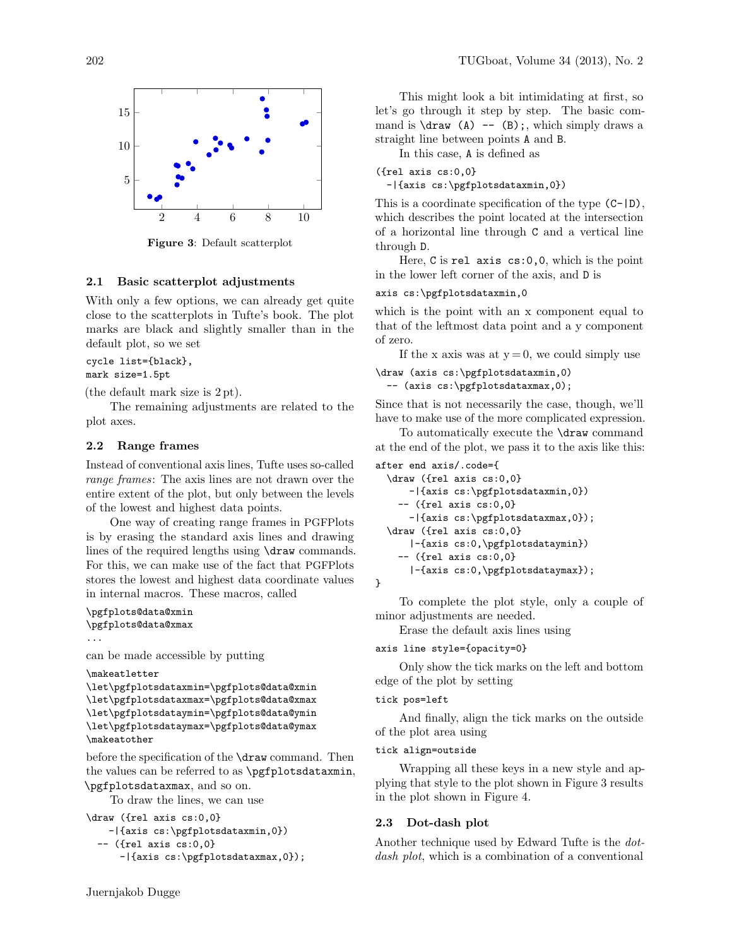

Figure 3: Default scatterplot

#### 2.1 Basic scatterplot adjustments

With only a few options, we can already get quite close to the scatterplots in Tufte's book. The plot marks are black and slightly smaller than in the default plot, so we set

```
cycle list={black},
mark size=1.5pt
```
(the default mark size is 2 pt).

The remaining adjustments are related to the plot axes.

### 2.2 Range frames

Instead of conventional axis lines, Tufte uses so-called range frames: The axis lines are not drawn over the entire extent of the plot, but only between the levels of the lowest and highest data points.

One way of creating range frames in PGFPlots is by erasing the standard axis lines and drawing lines of the required lengths using \draw commands. For this, we can make use of the fact that PGFPlots stores the lowest and highest data coordinate values in internal macros. These macros, called

```
\pgfplots@data@xmin
\pgfplots@data@xmax
```
can be made accessible by putting

```
\makeatletter
```
...

```
\let\pgfplotsdataxmin=\pgfplots@data@xmin
\let\pgfplotsdataxmax=\pgfplots@data@xmax
\let\pgfplotsdataymin=\pgfplots@data@ymin
\let\pgfplotsdataymax=\pgfplots@data@ymax
\makeatother
```
before the specification of the \draw command. Then the values can be referred to as \pgfplotsdataxmin, \pgfplotsdataxmax, and so on.

To draw the lines, we can use

```
\draw ({rel axis cs:0,0}
   -|{axis cs:\pgfplotsdataxmin,0})
  -- ({rel axis cs:0,0}
      -|{axis cs:\pgfplotsdataxmax,0});
```
This might look a bit intimidating at first, so let's go through it step by step. The basic command is \draw (A) -- (B);, which simply draws a straight line between points A and B.

In this case, A is defined as

```
({rel axis cs:0,0}
```
-|{axis cs:\pgfplotsdataxmin,0})

This is a coordinate specification of the type (C-|D), which describes the point located at the intersection of a horizontal line through C and a vertical line through D.

Here, C is rel axis cs:0,0, which is the point in the lower left corner of the axis, and D is

### axis cs:\pgfplotsdataxmin,0

which is the point with an x component equal to that of the leftmost data point and a y component of zero.

If the x axis was at  $y = 0$ , we could simply use

```
\draw (axis cs:\pgfplotsdataxmin,0)
```
-- (axis cs:\pgfplotsdataxmax,0);

Since that is not necessarily the case, though, we'll have to make use of the more complicated expression.

To automatically execute the \draw command at the end of the plot, we pass it to the axis like this:

```
after end axis/.code={
 \draw ({rel axis cs:0,0}
```

```
-|{axis cs:\pgfplotsdataxmin,0})
 -- ({rel axis cs:0,0}
   -|{axis cs:\pgfplotsdataxmax,0});
\draw ({rel axis cs:0,0}
   |-{axis cs:0,\pgfplotsdataymin})
 -- ({rel axis cs:0,0}
   |-{axis cs:0,\pgfplotsdataymax});
```
}

To complete the plot style, only a couple of minor adjustments are needed.

Erase the default axis lines using

axis line style={opacity=0}

Only show the tick marks on the left and bottom edge of the plot by setting

#### tick pos=left

And finally, align the tick marks on the outside of the plot area using

### tick align=outside

Wrapping all these keys in a new style and applying that style to the plot shown in Figure 3 results in the plot shown in Figure 4.

#### 2.3 Dot-dash plot

Another technique used by Edward Tufte is the dotdash plot, which is a combination of a conventional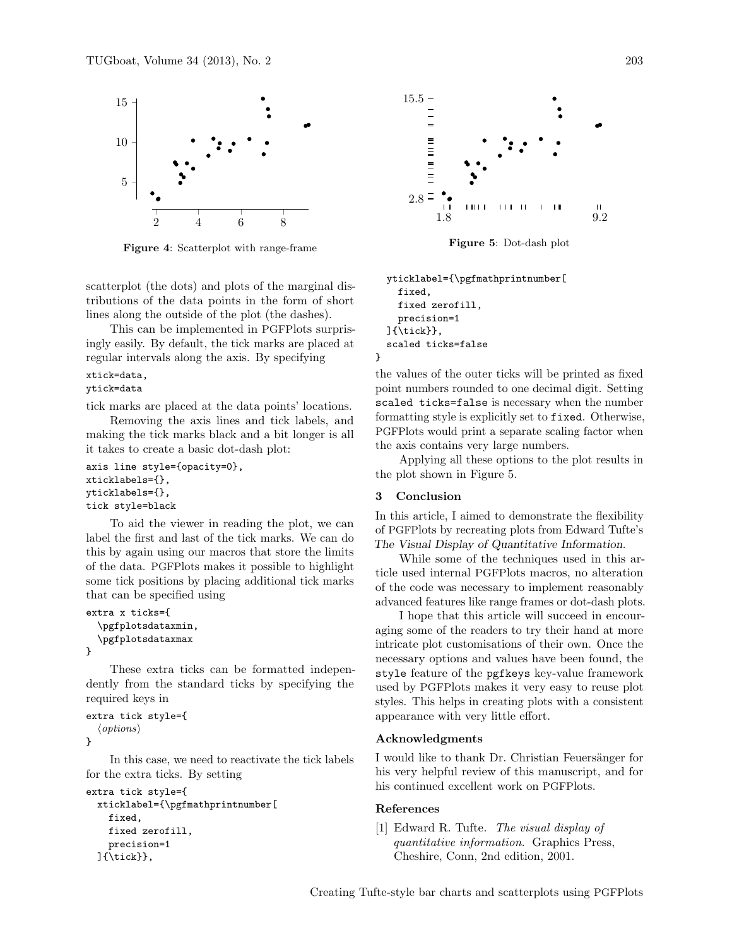

Figure 4: Scatterplot with range-frame

scatterplot (the dots) and plots of the marginal distributions of the data points in the form of short lines along the outside of the plot (the dashes).

This can be implemented in PGFPlots surprisingly easily. By default, the tick marks are placed at regular intervals along the axis. By specifying

# xtick=data,

# ytick=data

tick marks are placed at the data points' locations.

Removing the axis lines and tick labels, and making the tick marks black and a bit longer is all it takes to create a basic dot-dash plot:

```
axis line style={opacity=0},
xticklabels={},
yticklabels={},
tick style=black
```
To aid the viewer in reading the plot, we can label the first and last of the tick marks. We can do this by again using our macros that store the limits of the data. PGFPlots makes it possible to highlight some tick positions by placing additional tick marks that can be specified using

```
extra x ticks={
  \pgfplotsdataxmin,
  \pgfplotsdataxmax
}
```
These extra ticks can be formatted independently from the standard ticks by specifying the required keys in

```
extra tick style={
   \langle options \rangle}
```
In this case, we need to reactivate the tick labels for the extra ticks. By setting

```
extra tick style={
 xticklabel={\pgfmathprintnumber[
    fixed,
    fixed zerofill,
    precision=1
 ]{\tick}},
```


Figure 5: Dot-dash plot

```
yticklabel={\pgfmathprintnumber[
  fixed,
  fixed zerofill,
  precision=1
]{\tick}},
scaled ticks=false
```
the values of the outer ticks will be printed as fixed point numbers rounded to one decimal digit. Setting scaled ticks=false is necessary when the number formatting style is explicitly set to fixed. Otherwise, PGFPlots would print a separate scaling factor when the axis contains very large numbers.

Applying all these options to the plot results in the plot shown in Figure 5.

### 3 Conclusion

}

In this article, I aimed to demonstrate the flexibility of PGFPlots by recreating plots from Edward Tufte's The Visual Display of Quantitative Information.

While some of the techniques used in this article used internal PGFPlots macros, no alteration of the code was necessary to implement reasonably advanced features like range frames or dot-dash plots.

I hope that this article will succeed in encouraging some of the readers to try their hand at more intricate plot customisations of their own. Once the necessary options and values have been found, the style feature of the pgfkeys key-value framework used by PGFPlots makes it very easy to reuse plot styles. This helps in creating plots with a consistent appearance with very little effort.

### Acknowledgments

I would like to thank Dr. Christian Feuersänger for his very helpful review of this manuscript, and for his continued excellent work on PGFPlots.

### References

[1] Edward R. Tufte. The visual display of quantitative information. Graphics Press, Cheshire, Conn, 2nd edition, 2001.